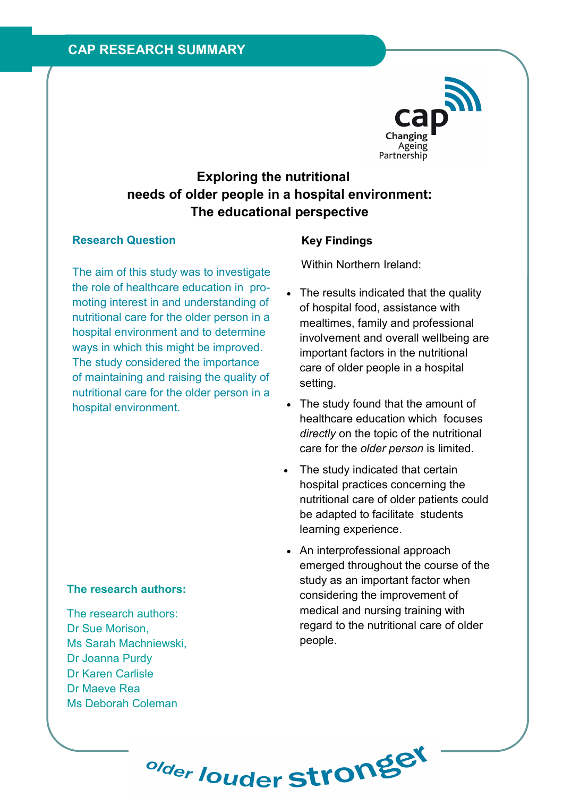

# Exploring the nutritional needs of older people in a hospital environment: The educational perspective

## Research Question

The aim of this study was to investigate the role of healthcare education in promoting interest in and understanding of nutritional care for the older person in a hospital environment and to determine ways in which this might be improved. The study considered the importance of maintaining and raising the quality of nutritional care for the older person in a hospital environment.

# Key Findings

Within Northern Ireland:

- The results indicated that the quality of hospital food, assistance with mealtimes, family and professional involvement and overall wellbeing are important factors in the nutritional care of older people in a hospital setting.
- The study found that the amount of healthcare education which focuses directly on the topic of the nutritional care for the older person is limited.
- The study indicated that certain hospital practices concerning the nutritional care of older patients could be adapted to facilitate students learning experience.
- An interprofessional approach emerged throughout the course of the study as an important factor when considering the improvement of medical and nursing training with regard to the nutritional care of older people.

# The research authors:

The research authors: Dr Sue Morison, Ms Sarah Machniewski, Dr Joanna Purdy Dr Karen Carlisle Dr Maeve Rea Ms Deborah Coleman

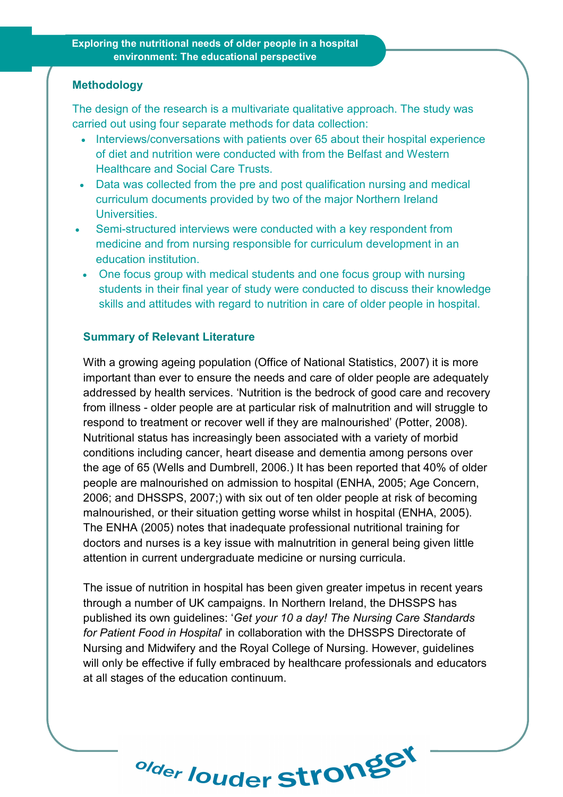#### Methodology

The design of the research is a multivariate qualitative approach. The study was carried out using four separate methods for data collection:

- Interviews/conversations with patients over 65 about their hospital experience of diet and nutrition were conducted with from the Belfast and Western Healthcare and Social Care Trusts.
- Data was collected from the pre and post qualification nursing and medical curriculum documents provided by two of the major Northern Ireland Universities.
- Semi-structured interviews were conducted with a key respondent from medicine and from nursing responsible for curriculum development in an education institution.
- One focus group with medical students and one focus group with nursing students in their final year of study were conducted to discuss their knowledge skills and attitudes with regard to nutrition in care of older people in hospital.

#### Summary of Relevant Literature

With a growing ageing population (Office of National Statistics, 2007) it is more important than ever to ensure the needs and care of older people are adequately addressed by health services. 'Nutrition is the bedrock of good care and recovery from illness - older people are at particular risk of malnutrition and will struggle to respond to treatment or recover well if they are malnourished' (Potter, 2008). Nutritional status has increasingly been associated with a variety of morbid conditions including cancer, heart disease and dementia among persons over the age of 65 (Wells and Dumbrell, 2006.) It has been reported that 40% of older people are malnourished on admission to hospital (ENHA, 2005; Age Concern, 2006; and DHSSPS, 2007;) with six out of ten older people at risk of becoming malnourished, or their situation getting worse whilst in hospital (ENHA, 2005). The ENHA (2005) notes that inadequate professional nutritional training for doctors and nurses is a key issue with malnutrition in general being given little attention in current undergraduate medicine or nursing curricula.

The issue of nutrition in hospital has been given greater impetus in recent years through a number of UK campaigns. In Northern Ireland, the DHSSPS has published its own guidelines: 'Get your 10 a day! The Nursing Care Standards for Patient Food in Hospital' in collaboration with the DHSSPS Directorate of Nursing and Midwifery and the Royal College of Nursing. However, guidelines will only be effective if fully embraced by healthcare professionals and educators at all stages of the education continuum.

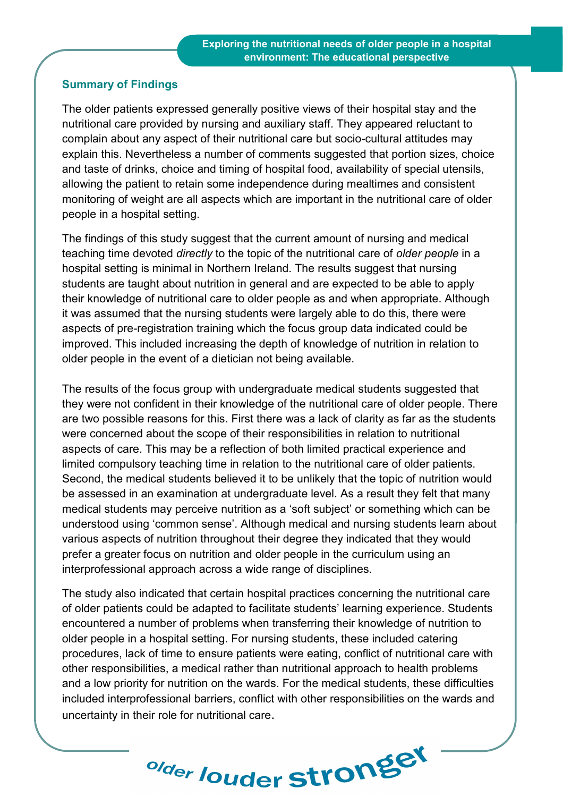## Summary of Findings

The older patients expressed generally positive views of their hospital stay and the nutritional care provided by nursing and auxiliary staff. They appeared reluctant to complain about any aspect of their nutritional care but socio-cultural attitudes may explain this. Nevertheless a number of comments suggested that portion sizes, choice and taste of drinks, choice and timing of hospital food, availability of special utensils, allowing the patient to retain some independence during mealtimes and consistent monitoring of weight are all aspects which are important in the nutritional care of older people in a hospital setting.

The findings of this study suggest that the current amount of nursing and medical teaching time devoted directly to the topic of the nutritional care of older people in a hospital setting is minimal in Northern Ireland. The results suggest that nursing students are taught about nutrition in general and are expected to be able to apply their knowledge of nutritional care to older people as and when appropriate. Although it was assumed that the nursing students were largely able to do this, there were aspects of pre-registration training which the focus group data indicated could be improved. This included increasing the depth of knowledge of nutrition in relation to older people in the event of a dietician not being available.

The results of the focus group with undergraduate medical students suggested that they were not confident in their knowledge of the nutritional care of older people. There are two possible reasons for this. First there was a lack of clarity as far as the students were concerned about the scope of their responsibilities in relation to nutritional aspects of care. This may be a reflection of both limited practical experience and limited compulsory teaching time in relation to the nutritional care of older patients. Second, the medical students believed it to be unlikely that the topic of nutrition would be assessed in an examination at undergraduate level. As a result they felt that many medical students may perceive nutrition as a 'soft subject' or something which can be understood using 'common sense'. Although medical and nursing students learn about various aspects of nutrition throughout their degree they indicated that they would prefer a greater focus on nutrition and older people in the curriculum using an interprofessional approach across a wide range of disciplines.

The study also indicated that certain hospital practices concerning the nutritional care of older patients could be adapted to facilitate students' learning experience. Students encountered a number of problems when transferring their knowledge of nutrition to older people in a hospital setting. For nursing students, these included catering procedures, lack of time to ensure patients were eating, conflict of nutritional care with other responsibilities, a medical rather than nutritional approach to health problems and a low priority for nutrition on the wards. For the medical students, these difficulties included interprofessional barriers, conflict with other responsibilities on the wards and uncertainty in their role for nutritional care.